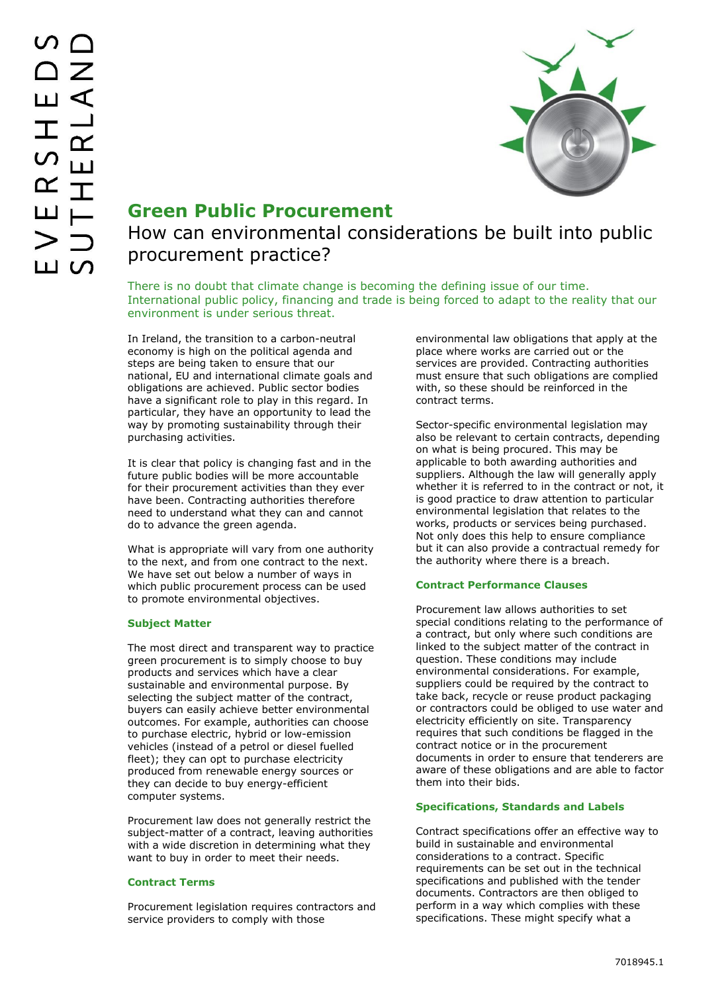

## **Green Public Procurement**

# How can environmental considerations be built into public procurement practice?

There is no doubt that climate change is becoming the defining issue of our time. International public policy, financing and trade is being forced to adapt to the reality that our environment is under serious threat.

In Ireland, the transition to a carbon-neutral economy is high on the political agenda and steps are being taken to ensure that our national, EU and international climate goals and obligations are achieved. Public sector bodies have a significant role to play in this regard. In particular, they have an opportunity to lead the way by promoting sustainability through their purchasing activities.

It is clear that policy is changing fast and in the future public bodies will be more accountable for their procurement activities than they ever have been. Contracting authorities therefore need to understand what they can and cannot do to advance the green agenda.

What is appropriate will vary from one authority to the next, and from one contract to the next. We have set out below a number of ways in which public procurement process can be used to promote environmental objectives.

### **Subject Matter**

The most direct and transparent way to practice green procurement is to simply choose to buy products and services which have a clear sustainable and environmental purpose. By selecting the subject matter of the contract, buyers can easily achieve better environmental outcomes. For example, authorities can choose to purchase electric, hybrid or low-emission vehicles (instead of a petrol or diesel fuelled fleet); they can opt to purchase electricity produced from renewable energy sources or they can decide to buy energy-efficient computer systems.

Procurement law does not generally restrict the subject-matter of a contract, leaving authorities with a wide discretion in determining what they want to buy in order to meet their needs.

### **Contract Terms**

Procurement legislation requires contractors and service providers to comply with those

environmental law obligations that apply at the place where works are carried out or the services are provided. Contracting authorities must ensure that such obligations are complied with, so these should be reinforced in the contract terms.

Sector-specific environmental legislation may also be relevant to certain contracts, depending on what is being procured. This may be applicable to both awarding authorities and suppliers. Although the law will generally apply whether it is referred to in the contract or not, it is good practice to draw attention to particular environmental legislation that relates to the works, products or services being purchased. Not only does this help to ensure compliance but it can also provide a contractual remedy for the authority where there is a breach.

#### **Contract Performance Clauses**

Procurement law allows authorities to set special conditions relating to the performance of a contract, but only where such conditions are linked to the subject matter of the contract in question. These conditions may include environmental considerations. For example, suppliers could be required by the contract to take back, recycle or reuse product packaging or contractors could be obliged to use water and electricity efficiently on site. Transparency requires that such conditions be flagged in the contract notice or in the procurement documents in order to ensure that tenderers are aware of these obligations and are able to factor them into their bids.

#### **Specifications, Standards and Labels**

Contract specifications offer an effective way to build in sustainable and environmental considerations to a contract. Specific requirements can be set out in the technical specifications and published with the tender documents. Contractors are then obliged to perform in a way which complies with these specifications. These might specify what a